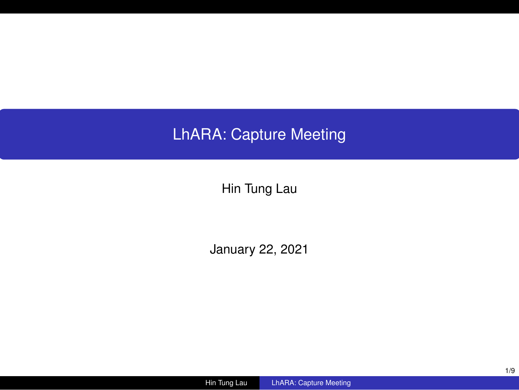# LhARA: Capture Meeting

Hin Tung Lau

January 22, 2021

Hin Tung Lau LhARA: Capture Meeting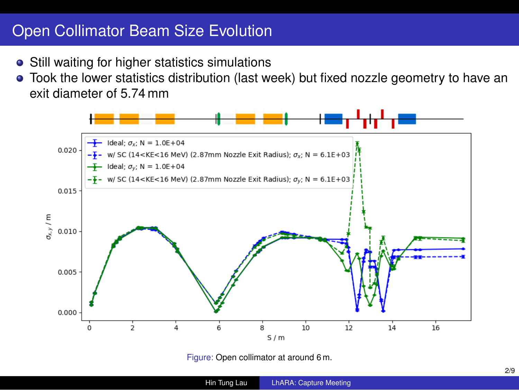## Open Collimator Beam Size Evolution

- **•** Still waiting for higher statistics simulations
- Took the lower statistics distribution (last week) but fixed nozzle geometry to have an exit diameter of 5.74 mm



Hin Tung Lau LhARA: Capture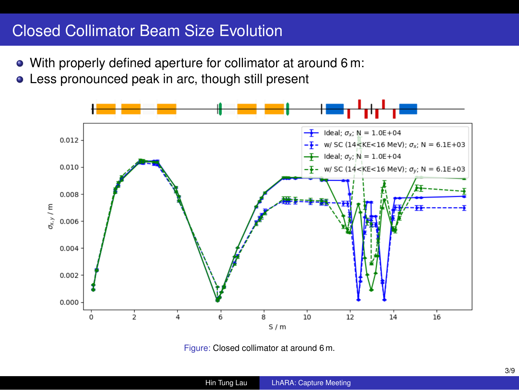## Closed Collimator Beam Size Evolution

- With properly defined aperture for collimator at around 6 m:
- Less pronounced peak in arc, though still present



Figure: Closed collimator at around 6 m.

|              |                               | 3/9 |
|--------------|-------------------------------|-----|
| Hin Tung Lau | <b>LhARA: Capture Meeting</b> |     |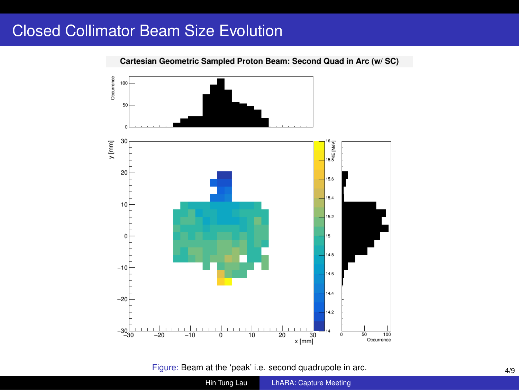## Closed Collimator Beam Size Evolution

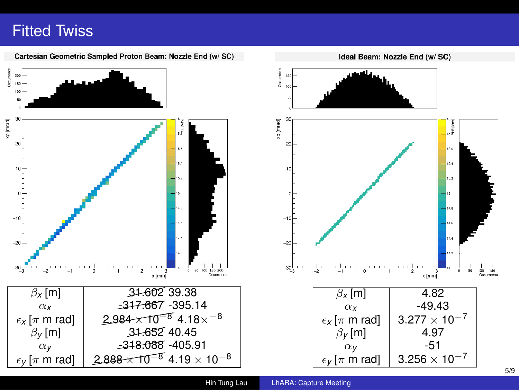#### Fitted Twiss

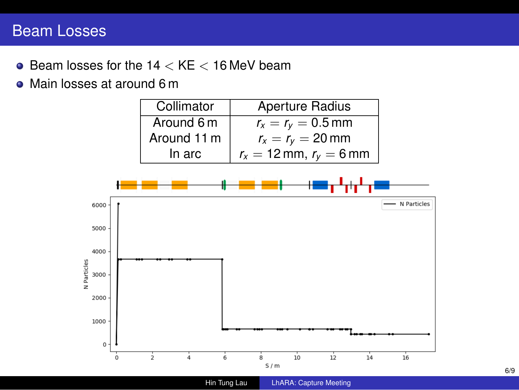## Beam Losses

- Beam losses for the 14 *<* KE *<* 16 MeV beam
- Main losses at around 6 m

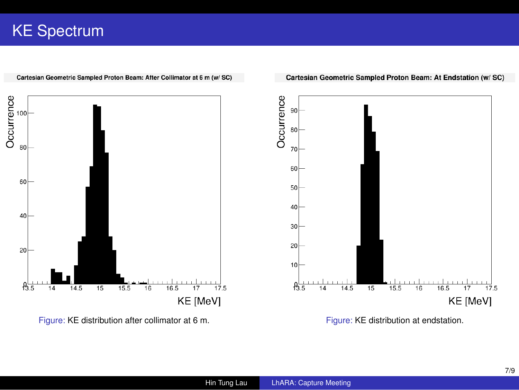# KE Spectrum



Cartesian Geometric Sampled Proton Beam: After Collimator at 6 m (w/ SC)

Cartesian Geometric Sampled Proton Beam: At Endstation (w/ SC)

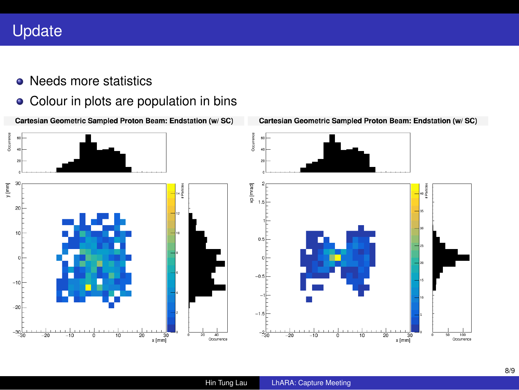## Update

- Needs more statistics
- Colour in plots are population in bins
- Cartesian Geometric Sampled Proton Beam: Endstation (w/ SC)